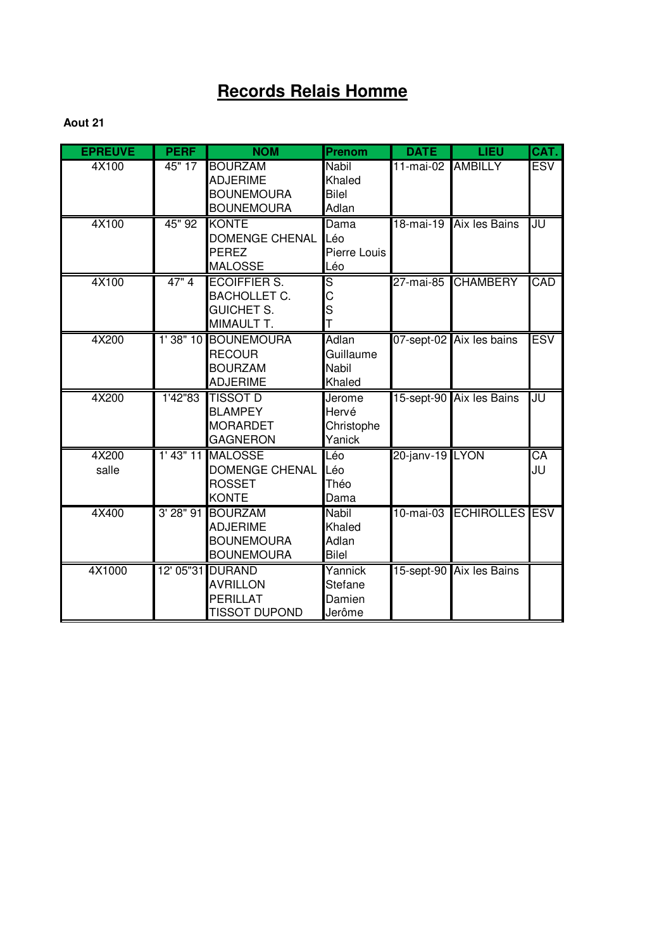# **Records Relais Homme**

| <b>EPREUVE</b> | <b>PERF</b> | <b>NOM</b>                | Prenom                  | <b>DATE</b>       | <b>LIEU</b>              | CAT.            |
|----------------|-------------|---------------------------|-------------------------|-------------------|--------------------------|-----------------|
| 4X100          | 45" 17      | <b>BOURZAM</b>            | Nabil                   | 11-mai-02 AMBILLY |                          | <b>ESV</b>      |
|                |             | <b>ADJERIME</b>           | Khaled                  |                   |                          |                 |
|                |             | <b>BOUNEMOURA</b>         | Bilel                   |                   |                          |                 |
|                |             | <b>BOUNEMOURA</b>         | Adlan                   |                   |                          |                 |
| 4X100          | 45" 92      | <b>KONTE</b>              | Dama                    | 18-mai-19         | Aix les Bains            | JU              |
|                |             | <b>DOMENGE CHENAL Léo</b> |                         |                   |                          |                 |
|                |             | <b>PEREZ</b>              | Pierre Louis            |                   |                          |                 |
|                |             | <b>MALOSSE</b>            | Léo                     |                   |                          |                 |
| 4X100          | 47"4        | <b>ECOIFFIER S.</b>       | $\overline{\mathsf{s}}$ | 27-mai-85         | <b>CHAMBERY</b>          | CAD             |
|                |             | <b>BACHOLLET C.</b>       | C                       |                   |                          |                 |
|                |             | <b>GUICHET S.</b>         | S<br>T                  |                   |                          |                 |
|                |             | MIMAULT T.                |                         |                   |                          |                 |
| 4X200          |             | 1'38" 10 BOUNEMOURA       | Adlan                   |                   | 07-sept-02 Aix les bains | <b>ESV</b>      |
|                |             | <b>RECOUR</b>             | Guillaume               |                   |                          |                 |
|                |             | <b>BOURZAM</b>            | Nabil                   |                   |                          |                 |
|                |             | <b>ADJERIME</b>           | Khaled                  |                   |                          |                 |
| 4X200          | 1'42"83     | <b>TISSOT D</b>           | Jerome                  |                   | 15-sept-90 Aix les Bains | JU              |
|                |             | <b>BLAMPEY</b>            | Hervé                   |                   |                          |                 |
|                |             | <b>MORARDET</b>           | Christophe              |                   |                          |                 |
|                |             | <b>GAGNERON</b>           | Yanick                  |                   |                          |                 |
| 4X200          |             | 1' 43" 11 MALOSSE         | Léo                     | 20-janv-19 LYON   |                          | $\overline{CA}$ |
| salle          |             | <b>DOMENGE CHENAL</b>     | Léo                     |                   |                          | JU              |
|                |             | <b>ROSSET</b>             | Théo                    |                   |                          |                 |
|                |             | <b>KONTE</b>              | Dama                    |                   |                          |                 |
| 4X400          |             | 3' 28" 91 BOURZAM         | <b>Nabil</b>            | $10$ -mai-03      | <b>ECHIROLLES ESV</b>    |                 |
|                |             | <b>ADJERIME</b>           | Khaled                  |                   |                          |                 |
|                |             | <b>BOUNEMOURA</b>         | Adlan                   |                   |                          |                 |
|                |             | <b>BOUNEMOURA</b>         | <b>Bilel</b>            |                   |                          |                 |
| 4X1000         |             | 12' 05"31 DURAND          | Yannick                 |                   | 15-sept-90 Aix les Bains |                 |
|                |             | <b>AVRILLON</b>           | <b>Stefane</b>          |                   |                          |                 |
|                |             | <b>PERILLAT</b>           | Damien                  |                   |                          |                 |
|                |             | <b>TISSOT DUPOND</b>      | Jerôme                  |                   |                          |                 |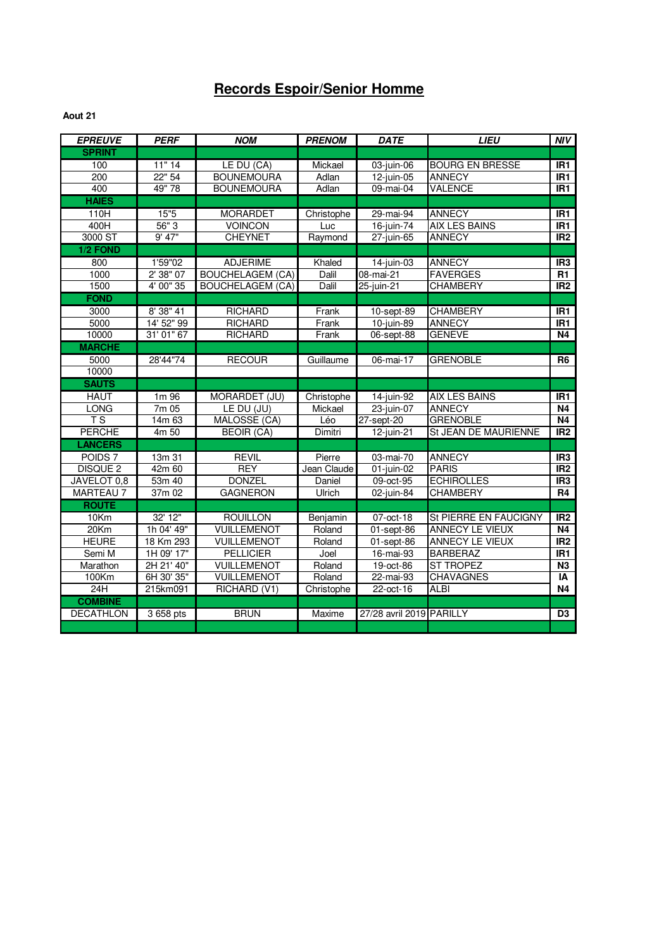## **Records Espoir/Senior Homme**

| <b>EPREUVE</b>     | <b>PERF</b> | <b>NOM</b>              | <b>PRENOM</b> | <b>DATE</b>              | <b>LIEU</b>            | NIV             |
|--------------------|-------------|-------------------------|---------------|--------------------------|------------------------|-----------------|
| <b>SPRINT</b>      |             |                         |               |                          |                        |                 |
| 100                | 11"14       | LE DU (CA)              | Mickael       | 03-juin-06               | <b>BOURG EN BRESSE</b> | IR <sub>1</sub> |
| 200                | 22" 54      | <b>BOUNEMOURA</b>       | Adlan         | $12$ -juin-05            | <b>ANNECY</b>          | IR <sub>1</sub> |
| 400                | 49" 78      | <b>BOUNEMOURA</b>       | Adlan         | 09-mai-04                | <b>VALENCE</b>         | IR1             |
| <b>HAIES</b>       |             |                         |               |                          |                        |                 |
| 110H               | 15"5        | <b>MORARDET</b>         | Christophe    | 29-mai-94                | <b>ANNECY</b>          | IR <sub>1</sub> |
| 400H               | 56"3        | <b>VOINCON</b>          | Luc           | 16-juin-74               | <b>AIX LES BAINS</b>   | IR1             |
| 3000 ST            | $9'$ 47"    | <b>CHEYNET</b>          | Raymond       | $27$ -juin-65            | <b>ANNECY</b>          | IR <sub>2</sub> |
| 1/2 FOND           |             |                         |               |                          |                        |                 |
| 800                | 1'59"02     | <b>ADJERIME</b>         | Khaled        | $14$ -juin-03            | <b>ANNECY</b>          | IR <sub>3</sub> |
| 1000               | 2' 38" 07   | <b>BOUCHELAGEM (CA)</b> | Dalil         | $08$ -mai-21             | <b>FAVERGES</b>        | R1              |
| 1500               | 4' 00" 35   | <b>BOUCHELAGEM (CA)</b> | Dalil         | $25$ -juin-21            | <b>CHAMBERY</b>        | IR <sub>2</sub> |
| <b>FOND</b>        |             |                         |               |                          |                        |                 |
| 3000               | 8' 38" 41   | <b>RICHARD</b>          | Frank         | 10-sept-89               | <b>CHAMBERY</b>        | IR <sub>1</sub> |
| 5000               | 14' 52" 99  | <b>RICHARD</b>          | Frank         | 10-juin-89               | <b>ANNECY</b>          | IR <sub>1</sub> |
| 10000              | 31' 01" 67  | <b>RICHARD</b>          | Frank         | 06-sept-88               | <b>GENEVE</b>          | N4              |
| <b>MARCHE</b>      |             |                         |               |                          |                        |                 |
| 5000               | 28'44"74    | <b>RECOUR</b>           | Guillaume     | 06-mai-17                | <b>GRENOBLE</b>        | <b>R6</b>       |
| 10000              |             |                         |               |                          |                        |                 |
| <b>SAUTS</b>       |             |                         |               |                          |                        |                 |
| <b>HAUT</b>        | 1m 96       | MORARDET (JU)           | Christophe    | 14-juin-92               | <b>AIX LES BAINS</b>   | IR <sub>1</sub> |
| <b>LONG</b>        | 7m05        | LE DU (JU)              | Mickael       | $23$ -juin-07            | <b>ANNECY</b>          | <b>N4</b>       |
| T <sub>S</sub>     | 14m 63      | MALOSSE (CA)            | Léo           | 27-sept-20               | <b>GRENOBLE</b>        | <b>N4</b>       |
| <b>PERCHE</b>      | 4m 50       | <b>BEOIR (CA)</b>       | Dimitri       | $12$ -juin-21            | St JEAN DE MAURIENNE   | IR <sub>2</sub> |
| <b>LANCERS</b>     |             |                         |               |                          |                        |                 |
| POIDS <sub>7</sub> | 13m 31      | <b>REVIL</b>            | Pierre        | 03-mai-70                | <b>ANNECY</b>          | IR <sub>3</sub> |
| <b>DISQUE 2</b>    | 42m 60      | <b>REY</b>              | Jean Claude   | $01$ -juin-02            | <b>PARIS</b>           | IR <sub>2</sub> |
| JAVELOT 0,8        | 53m 40      | <b>DONZEL</b>           | Daniel        | 09-oct-95                | <b>ECHIROLLES</b>      | IR <sub>3</sub> |
| <b>MARTEAU 7</b>   | 37m 02      | <b>GAGNERON</b>         | Ulrich        | $02$ -juin-84            | <b>CHAMBERY</b>        | R4              |
| <b>ROUTE</b>       |             |                         |               |                          |                        |                 |
| 10Km               | 32' 12"     | <b>ROUILLON</b>         | Benjamin      | 07-oct-18                | St PIERRE EN FAUCIGNY  | IR <sub>2</sub> |
| 20Km               | 1h 04' 49"  | <b>VUILLEMENOT</b>      | Roland        | $01$ -sept-86            | ANNECY LE VIEUX        | <b>N4</b>       |
| <b>HEURE</b>       | 18 Km 293   | <b>VUILLEMENOT</b>      | Roland        | 01-sept-86               | ANNECY LE VIEUX        | IR2             |
| Semi M             | 1H 09' 17"  | <b>PELLICIER</b>        | Joel          | 16-mai-93                | <b>BARBERAZ</b>        | IR <sub>1</sub> |
| Marathon           | 2H 21' 40"  | <b>VUILLEMENOT</b>      | Roland        | 19-oct-86                | <b>ST TROPEZ</b>       | N3              |
| 100Km              | 6H 30' 35"  | <b>VUILLEMENOT</b>      | Roland        | $22$ -mai-93             | <b>CHAVAGNES</b>       | IA              |
| 24H                | 215km091    | RICHARD (V1)            | Christophe    | 22-oct-16                | <b>ALBI</b>            | <b>N4</b>       |
| <b>COMBINE</b>     |             |                         |               |                          |                        |                 |
| <b>DECATHLON</b>   | 3 658 pts   | <b>BRUN</b>             | Maxime        | 27/28 avril 2019 PARILLY |                        | D <sub>3</sub>  |
|                    |             |                         |               |                          |                        |                 |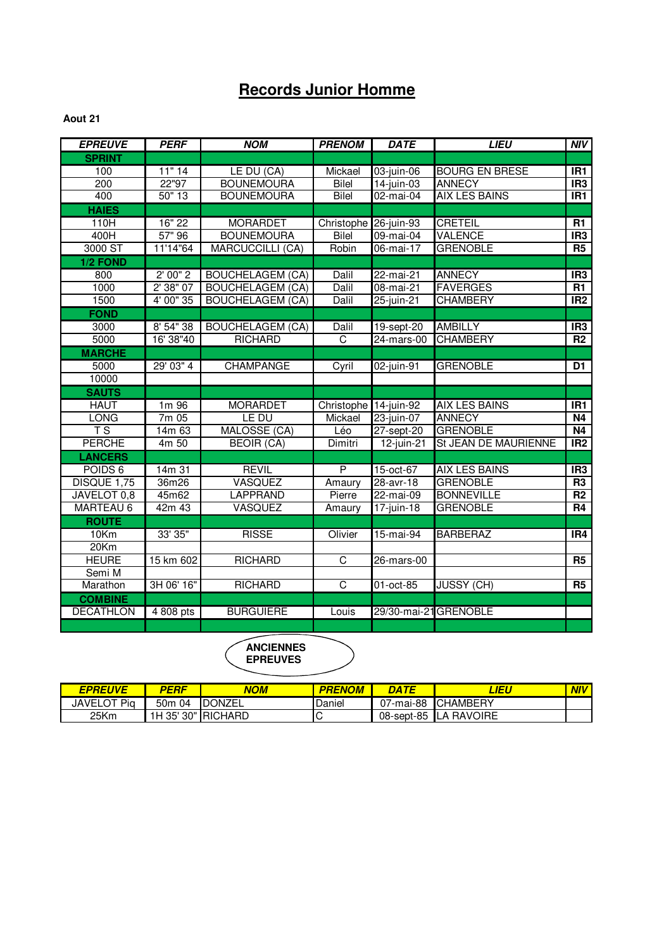## **Records Junior Homme**

#### **Aout 21**

| <b>EPREUVE</b>          | <b>PERF</b> | <b>NOM</b>              | <b>PRENOM</b>         | <b>DATE</b>           | <b>LIEU</b>           | $\overline{M}$   |
|-------------------------|-------------|-------------------------|-----------------------|-----------------------|-----------------------|------------------|
| <b>SPRINT</b>           |             |                         |                       |                       |                       |                  |
| 100                     | 11" 14      | LE DU (CA)              | Mickael               | 03-juin-06            | <b>BOURG EN BRESE</b> | IR <sub>1</sub>  |
| 200                     | 22"97       | <b>BOUNEMOURA</b>       | Bilel                 | $14$ -juin-03         | <b>ANNECY</b>         | IR <sub>3</sub>  |
| 400                     | 50" 13      | <b>BOUNEMOURA</b>       | Bilel                 | 02-mai-04             | <b>AIX LES BAINS</b>  | $\overline{IR1}$ |
| <b>HAIES</b>            |             |                         |                       |                       |                       |                  |
| 110H                    | 16" 22      | <b>MORARDET</b>         | Christophe 26-juin-93 |                       | <b>CRETEIL</b>        | R1               |
| 400H                    | 57" 96      | <b>BOUNEMOURA</b>       | <b>Bilel</b>          | 09-mai-04             | <b>VALENCE</b>        | IR <sub>3</sub>  |
| 3000 ST                 | 11'14"64    | <b>MARCUCCILLI (CA)</b> | Robin                 | 06-mai-17             | <b>GRENOBLE</b>       | <b>R5</b>        |
| 1/2 FOND                |             |                         |                       |                       |                       |                  |
| 800                     | 2'00''2     | <b>BOUCHELAGEM (CA)</b> | Dalil                 | 22-mai-21             | <b>ANNECY</b>         | IR <sub>3</sub>  |
| 1000                    | 2' 38" 07   | <b>BOUCHELAGEM (CA)</b> | Dalil                 | 08-mai-21             | <b>FAVERGES</b>       | $\overline{R1}$  |
| 1500                    | 4' 00" 35   | <b>BOUCHELAGEM (CA)</b> | Dalil                 | 25-juin-21            | <b>CHAMBERY</b>       | IR <sub>2</sub>  |
| <b>FOND</b>             |             |                         |                       |                       |                       |                  |
| 3000                    | 8' 54" 38   | <b>BOUCHELAGEM (CA)</b> | Dalil                 | 19-sept-20            | <b>AMBILLY</b>        | IR3              |
| 5000                    | 16' 38"40   | <b>RICHARD</b>          | C                     | 24-mars-00            | <b>CHAMBERY</b>       | R <sub>2</sub>   |
| <b>MARCHE</b>           |             |                         |                       |                       |                       |                  |
| 5000                    | 29' 03" 4   | <b>CHAMPANGE</b>        | Cyril                 | 02-juin-91            | <b>GRENOBLE</b>       | D1               |
| 10000                   |             |                         |                       |                       |                       |                  |
| <b>SAUTS</b>            |             |                         |                       |                       |                       |                  |
| <b>HAUT</b>             | 1m 96       | <b>MORARDET</b>         | Christophe 14-juin-92 |                       | AIX LES BAINS         | IR <sub>1</sub>  |
| <b>LONG</b>             | 7m 05       | LE DU                   | Mickael               | 23-juin-07            | <b>ANNECY</b>         | <b>N4</b>        |
| $\overline{\text{T}}$ S | 14m 63      | MALOSSE (CA)            | Léo                   | 27-sept-20            | <b>GRENOBLE</b>       | N4               |
| <b>PERCHE</b>           | 4m 50       | <b>BEOIR (CA)</b>       | Dimitri               | $12$ -juin-21         | St JEAN DE MAURIENNE  | IR2              |
| <b>LANCERS</b>          |             |                         |                       |                       |                       |                  |
| POIDS <sub>6</sub>      | 14m 31      | <b>REVIL</b>            | P                     | 15-oct-67             | <b>AIX LES BAINS</b>  | IR3              |
| DISQUE 1,75             | 36m26       | <b>VASQUEZ</b>          | Amaury                | 28-avr-18             | <b>GRENOBLE</b>       | R <sub>3</sub>   |
| JAVELOT 0,8             | 45m62       | <b>LAPPRAND</b>         | Pierre                | 22-mai-09             | <b>BONNEVILLE</b>     | $\overline{R2}$  |
| <b>MARTEAU 6</b>        | 42m 43      | VASQUEZ                 | Amaury                | 17-juin-18            | <b>GRENOBLE</b>       | R4               |
| <b>ROUTE</b>            |             |                         |                       |                       |                       |                  |
| 10Km                    | 33' 35"     | <b>RISSE</b>            | Olivier               | 15-mai-94             | <b>BARBERAZ</b>       | IR4              |
| 20Km                    |             |                         |                       |                       |                       |                  |
| <b>HEURE</b>            | 15 km 602   | <b>RICHARD</b>          | $\overline{C}$        | 26-mars-00            |                       | R5               |
| Semi M                  |             |                         |                       |                       |                       |                  |
| Marathon                | 3H 06' 16"  | <b>RICHARD</b>          | C                     | 01-oct-85             | <b>JUSSY (CH)</b>     | <b>R5</b>        |
| <b>COMBINE</b>          |             |                         |                       |                       |                       |                  |
| <b>DECATHLON</b>        | 4 808 pts   | <b>BURGUIERE</b>        | Louis                 | 29/30-mai-21 GRENOBLE |                       |                  |
|                         |             |                         |                       |                       |                       |                  |
|                         |             |                         |                       |                       |                       |                  |

| EPREUVE            | PERF                  | NOM                 | PRENOM | DATE       | <i><b>LIEU</b></i> | <b>NIV</b> |
|--------------------|-----------------------|---------------------|--------|------------|--------------------|------------|
| <b>JAVELOT Pig</b> | 50 <sub>m</sub><br>04 | <b>DONZEL</b>       | Daniel | 07-mai-88  | <b>ICHAMBERY</b>   |            |
| 25Km               |                       | 1H 35' 30" IRICHARD | ◡      | 08-sept-85 | <b>ILA RAVOIRE</b> |            |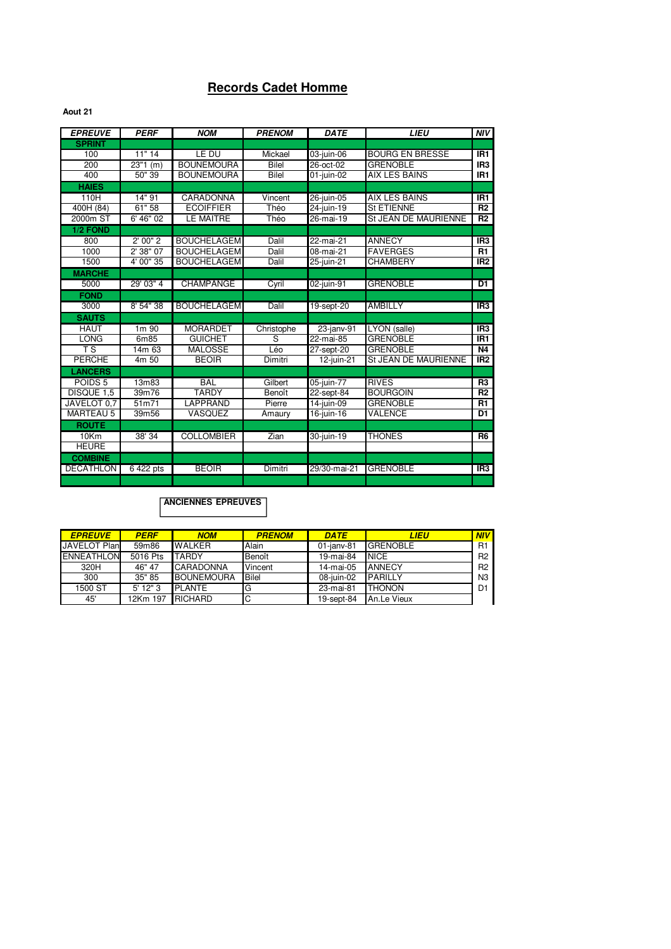### **Records Cadet Homme**

**Aout 21**

| <b>EPREUVE</b>         | <b>PERF</b>       | <b>NOM</b>         | <b>PRENOM</b> | <b>DATE</b>              | <b>LIEU</b>                 | <b>NIV</b>      |
|------------------------|-------------------|--------------------|---------------|--------------------------|-----------------------------|-----------------|
| <b>SPRINT</b>          |                   |                    |               |                          |                             |                 |
| 100                    | 11"14             | LE DU              | Mickael       | 03-juin-06               | <b>BOURG EN BRESSE</b>      | IR <sub>1</sub> |
| 200                    | $23"1$ (m)        | <b>BOUNEMOURA</b>  | Bilel         | 26-oct-02                | <b>GRENOBLE</b>             | IR <sub>3</sub> |
| 400                    | 50"39             | <b>BOUNEMOURA</b>  | <b>Bilel</b>  | 01-juin-02               | <b>AIX LES BAINS</b>        | IR <sub>1</sub> |
| <b>HAIES</b>           |                   |                    |               |                          |                             |                 |
| 110H                   | 14"91             | <b>CARADONNA</b>   | Vincent       | 26-juin-05               | <b>AIX LES BAINS</b>        | IR <sub>1</sub> |
| 400H (84)              | 61"58             | <b>ECOIFFIER</b>   | Théo          | $\overline{24}$ -juin-19 | <b>St ETIENNE</b>           | R2              |
| 2000m ST               | 6' 46" 02         | LE MAITRE          | Théo          | 26-mai-19                | <b>St JEAN DE MAURIENNE</b> | R2              |
| 1/2 FOND               |                   |                    |               |                          |                             |                 |
| 800                    | 2'00''2           | <b>BOUCHELAGEM</b> | Dalil         | 22-mai-21                | <b>ANNECY</b>               | IR <sub>3</sub> |
| 1000                   | 2'38''07          | <b>BOUCHELAGEM</b> | Dalil         | 08-mai-21                | <b>FAVERGES</b>             | R1              |
| 1500                   | 4' 00" 35         | <b>BOUCHELAGEM</b> | Dalil         | 25-juin-21               | <b>CHAMBERY</b>             | IR <sub>2</sub> |
| <b>MARCHE</b>          |                   |                    |               |                          |                             |                 |
| 5000                   | 29' 03" 4         | <b>CHAMPANGE</b>   | Cyril         | 02-juin-91               | <b>GRENOBLE</b>             | D <sub>1</sub>  |
| <b>FOND</b>            |                   |                    |               |                          |                             |                 |
| 3000                   | 8' 54" 38         | <b>BOUCHELAGEM</b> | Dalil         | 19-sept-20               | <b>AMBILLY</b>              | IR <sub>3</sub> |
| <b>SAUTS</b>           |                   |                    |               |                          |                             |                 |
| <b>HAUT</b>            | 1m 90             | <b>MORARDET</b>    | Christophe    | 23-janv-91               | LYON (salle)                | IR <sub>3</sub> |
| <b>LONG</b>            | 6m85              | <b>GUICHET</b>     | S             | 22-mai-85                | <b>GRENOBLE</b>             | IR <sub>1</sub> |
| $\overline{\text{TS}}$ | 14m 63            | <b>MALOSSE</b>     | Léo           | 27-sept-20               | <b>GRENOBLE</b>             | <b>N4</b>       |
| <b>PERCHE</b>          | $4m\overline{50}$ | <b>BEOIR</b>       | Dimitri       | 12-juin-21               | St JEAN DE MAURIENNE        | IR <sub>2</sub> |
| <b>LANCERS</b>         |                   |                    |               |                          |                             |                 |
| POIDS <sub>5</sub>     | 13m83             | <b>BAL</b>         | Gilbert       | 05-juin-77               | <b>RIVES</b>                | R <sub>3</sub>  |
| DISQUE 1,5             | 39m76             | <b>TARDY</b>       | Benoît        | 22-sept-84               | <b>BOURGOIN</b>             | R2              |
| JAVELOT 0.7            | 51m71             | LAPPRAND           | Pierre        | 14-juin-09               | <b>GRENOBLE</b>             | R1              |
| <b>MARTEAU 5</b>       | 39m56             | VASQUEZ            | Amaury        | $\overline{16}$ -juin-16 | <b>VALENCE</b>              | D <sub>1</sub>  |
| <b>ROUTE</b>           |                   |                    |               |                          |                             |                 |
| 10Km                   | 38' 34            | <b>COLLOMBIER</b>  | Zian          | 30-juin-19               | <b>THONES</b>               | R <sub>6</sub>  |
| <b>HEURE</b>           |                   |                    |               |                          |                             |                 |
| <b>COMBINE</b>         |                   |                    |               |                          |                             |                 |
| <b>DECATHLON</b>       | 6422 pts          | <b>BEOIR</b>       | Dimitri       | 29/30-mai-21             | <b>GRENOBLE</b>             | IR3             |
|                        |                   |                    |               |                          |                             |                 |

| <b>EPREUVE</b>      | <b>PERF</b> | <b>NOM</b>        | <b>PRENOM</b> | <b>DATE</b>   | <b>LIEU</b>     | NIV            |
|---------------------|-------------|-------------------|---------------|---------------|-----------------|----------------|
| <b>JAVELOT Plan</b> | 59m86       | <b>WALKER</b>     | Alain         | $01$ -jany-81 | <b>GRENOBLE</b> | <b>R1</b>      |
| <b>ENNEATHLON</b>   | 5016 Pts    | <b>TARDY</b>      | Benoît        | 19-mai-84     | <b>NICE</b>     | R <sub>2</sub> |
| 320H                | 46" 47      | <b>CARADONNA</b>  | Vincent       | 14-mai-05     | <b>ANNECY</b>   | R <sub>2</sub> |
| 300                 | 35" 85      | <b>BOUNEMOURA</b> | <b>Bilel</b>  | 08-juin-02    | <b>PARILLY</b>  | N <sub>3</sub> |
| 1500 ST             | $5'$ 12" 3  | <b>PLANTE</b>     | G             | 23-mai-81     | <b>THONON</b>   | D1             |
| 45'                 | 12Km 197    | <b>RICHARD</b>    | IС            | 19-sept-84    | An.Le Vieux     |                |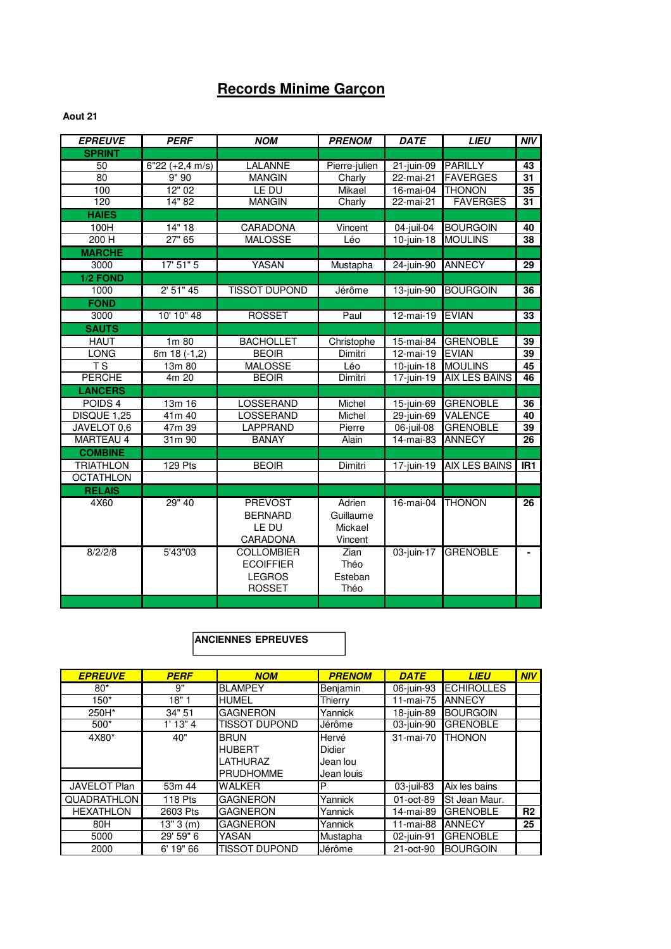## **Records Minime Garçon**

#### **Aout 21**

| <b>EPREUVE</b>     | <b>PERF</b>       | <b>NOM</b>           | <b>PRENOM</b> | <b>DATE</b>             | <b>LIEU</b>          | <b>NIV</b>      |
|--------------------|-------------------|----------------------|---------------|-------------------------|----------------------|-----------------|
| <b>SPRINT</b>      |                   |                      |               |                         |                      |                 |
| 50                 | $6"22 (+2,4 m/s)$ | LALANNE              | Pierre-julien | $21$ -juin-09           | <b>PARILLY</b>       | 43              |
| 80                 | $\frac{1}{9}$ 90  | <b>MANGIN</b>        | Charly        | 22-mai-21               | <b>FAVERGES</b>      | 31              |
| 100                | 12"02             | LE DU                | <b>Mikael</b> | 16-mai-04               | <b>THONON</b>        | $\overline{35}$ |
| 120                | 14" 82            | <b>MANGIN</b>        | Charly        | 22-mai-21               | <b>FAVERGES</b>      | 31              |
| <b>HAIES</b>       |                   |                      |               |                         |                      |                 |
| 100H               | 14" 18            | <b>CARADONA</b>      | Vincent       | 04-juil-04              | <b>BOURGOIN</b>      | 40              |
| 200 H              | 27" 65            | <b>MALOSSE</b>       | Léo           | $10$ -juin-18           | <b>MOULINS</b>       | 38              |
| <b>MARCHE</b>      |                   |                      |               |                         |                      |                 |
| 3000               | 17' 51" 5         | YASAN                | Mustapha      | 24-juin-90              | <b>ANNECY</b>        | 29              |
| 1/2 FOND           |                   |                      |               |                         |                      |                 |
| 1000               | 2' 51" 45         | <b>TISSOT DUPOND</b> | Jérôme        | 13-juin-90              | <b>BOURGOIN</b>      | 36              |
| <b>FOND</b>        |                   |                      |               |                         |                      |                 |
| 3000               | 10' 10" 48        | <b>ROSSET</b>        | Paul          | $12$ -mai-19            | <b>EVIAN</b>         | 33              |
| <b>SAUTS</b>       |                   |                      |               |                         |                      |                 |
| <b>HAUT</b>        | 1m 80             | <b>BACHOLLET</b>     | Christophe    | 15-mai-84               | <b>GRENOBLE</b>      | 39              |
| <b>LONG</b>        | 6m 18 (-1,2)      | <b>BEOIR</b>         | Dimitri       | $\overline{12}$ -mai-19 | <b>EVIAN</b>         | 39              |
| T S                | 13m 80            | <b>MALOSSE</b>       | Léo           | $10$ -juin-18           | <b>MOULINS</b>       | 45              |
| <b>PERCHE</b>      | 4m 20             | <b>BEOIR</b>         | Dimitri       | 17-juin-19              | <b>AIX LES BAINS</b> | 46              |
| <b>LANCERS</b>     |                   |                      |               |                         |                      |                 |
| POIDS <sub>4</sub> | 13m 16            | LOSSERAND            | Michel        | 15-juin-69              | <b>GRENOBLE</b>      | 36              |
| DISQUE 1,25        | 41m 40            | LOSSERAND            | Michel        | 29-juin-69              | <b>VALENCE</b>       | 40              |
| JAVELOT 0,6        | 47m 39            | LAPPRAND             | Pierre        | $06$ -juil-08           | <b>GRENOBLE</b>      | 39              |
| MARTEAU 4          | 31m 90            | <b>BANAY</b>         | Alain         | $\overline{14}$ -mai-83 | <b>ANNECY</b>        | 26              |
| <b>COMBINE</b>     |                   |                      |               |                         |                      |                 |
| <b>TRIATHLON</b>   | <b>129 Pts</b>    | <b>BEOIR</b>         | Dimitri       | 17-juin-19              | <b>AIX LES BAINS</b> | IR <sub>1</sub> |
| <b>OCTATHLON</b>   |                   |                      |               |                         |                      |                 |
| <b>RELAIS</b>      |                   |                      |               |                         |                      |                 |
| 4X60               | 29" 40            | <b>PREVOST</b>       | Adrien        | 16-mai-04               | <b>THONON</b>        | 26              |
|                    |                   | <b>BERNARD</b>       | Guillaume     |                         |                      |                 |
|                    |                   | LE DU                | Mickael       |                         |                      |                 |
|                    |                   | CARADONA             | Vincent       |                         |                      |                 |
| 8/2/2/8            | 5'43"03           | <b>COLLOMBIER</b>    | Zian          | 03-juin-17              | <b>GRENOBLE</b>      |                 |
|                    |                   | <b>ECOIFFIER</b>     | Théo          |                         |                      |                 |
|                    |                   | <b>LEGROS</b>        | Esteban       |                         |                      |                 |
|                    |                   | <b>ROSSET</b>        | Théo          |                         |                      |                 |
|                    |                   |                      |               |                         |                      |                 |

| <b>EPREUVE</b>     | <b>PERF</b> | <b>NOM</b>                                                   | <b>PRENOM</b>                             | <b>DATE</b> | <b>LIEU</b>       | NIV            |
|--------------------|-------------|--------------------------------------------------------------|-------------------------------------------|-------------|-------------------|----------------|
| $80*$              | 9"          | <b>BLAMPEY</b>                                               | Benjamin                                  | 06-juin-93  | <b>ECHIROLLES</b> |                |
| 150*               | 18"1        | <b>HUMEL</b>                                                 | Thierrv                                   | 11-mai-75   | <b>ANNECY</b>     |                |
| 250H*              | 34" 51      | <b>GAGNERON</b>                                              | Yannick                                   | 18-juin-89  | <b>BOURGOIN</b>   |                |
| $500*$             | $1'$ 13" 4  | TISSOT DUPOND                                                | Jérôme                                    | 03-juin-90  | <b>GRENOBLE</b>   |                |
| 4X80*              | 40"         | <b>BRUN</b><br><b>HUBERT</b><br>LATHURAZ<br><b>PRUDHOMME</b> | Hervé<br>Didier<br>Jean lou<br>Jean Iouis | 31-mai-70   | <b>THONON</b>     |                |
| JAVELOT Plan       | 53m 44      | <b>WALKER</b>                                                | P                                         | 03-juil-83  | Aix les bains     |                |
| <b>QUADRATHLON</b> | 118 Pts     | <b>GAGNERON</b>                                              | Yannick                                   | 01-oct-89   | St Jean Maur.     |                |
| <b>HEXATHLON</b>   | 2603 Pts    | <b>GAGNERON</b>                                              | Yannick                                   | 14-mai-89   | <b>GRENOBLE</b>   | R <sub>2</sub> |
| 80H                | 13"3(m)     | <b>GAGNERON</b>                                              | Yannick                                   | 11-mai-88   | <b>ANNECY</b>     | 25             |
| 5000               | 29' 59" 6   | YASAN                                                        | Mustapha                                  | 02-juin-91  | <b>GRENOBLE</b>   |                |
| 2000               | 6' 19" 66   | <b>TISSOT DUPOND</b>                                         | Jérôme                                    | 21-oct-90   | <b>BOURGOIN</b>   |                |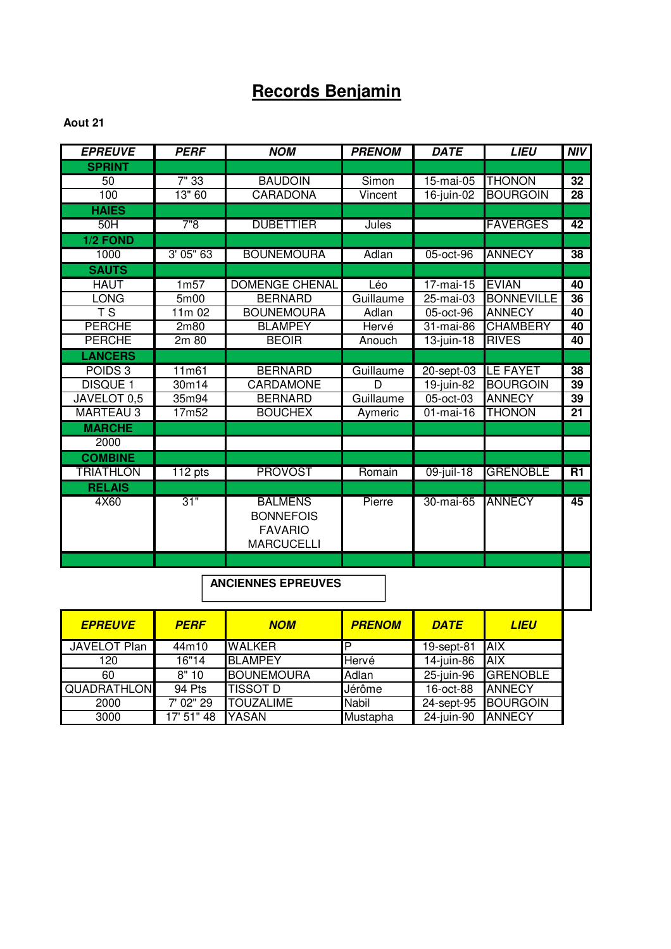## **Records Benjamin**

#### **Aout 21**

| <b>EPREUVE</b>                    | <b>PERF</b>      | <b>NOM</b>                | <b>PRENOM</b> | <b>DATE</b>   | <b>LIEU</b>       | <b>NIV</b>      |
|-----------------------------------|------------------|---------------------------|---------------|---------------|-------------------|-----------------|
| <b>SPRINT</b>                     |                  |                           |               |               |                   |                 |
| 50                                | 7"33             | <b>BAUDOIN</b>            | Simon         | 15-mai-05     | <b>THONON</b>     | 32              |
| 100                               | 13" 60           | <b>CARADONA</b>           | Vincent       | $16$ -juin-02 | <b>BOURGOIN</b>   | 28              |
| <b>HAIES</b>                      |                  |                           |               |               |                   |                 |
| 50H                               | 7"8              | <b>DUBETTIER</b>          | Jules         |               | <b>FAVERGES</b>   | 42              |
| 1/2 FOND                          |                  |                           |               |               |                   |                 |
| 1000                              | 3'05''63         | <b>BOUNEMOURA</b>         | Adlan         | 05-oct-96     | <b>ANNECY</b>     | 38              |
| <b>SAUTS</b>                      |                  |                           |               |               |                   |                 |
| <b>HAUT</b>                       | 1 <sub>m57</sub> | <b>DOMENGE CHENAL</b>     | Léo           | $17$ -mai-15  | <b>EVIAN</b>      | 40              |
| <b>LONG</b>                       | 5m00             | <b>BERNARD</b>            | Guillaume     | 25-mai-03     | <b>BONNEVILLE</b> | $\overline{36}$ |
| $\overline{\mathsf{T}}\mathsf{S}$ | 11m 02           | <b>BOUNEMOURA</b>         | Adlan         | 05-oct-96     | <b>ANNECY</b>     | 40              |
| <b>PERCHE</b>                     | 2m80             | <b>BLAMPEY</b>            | Hervé         | 31-mai-86     | <b>CHAMBERY</b>   | 40              |
| <b>PERCHE</b>                     | 2m 80            | <b>BEOIR</b>              | Anouch        | $13$ -juin-18 | <b>RIVES</b>      | 40              |
| <b>LANCERS</b>                    |                  |                           |               |               |                   |                 |
| POIDS <sub>3</sub>                | 11m61            | <b>BERNARD</b>            | Guillaume     | 20-sept-03    | <b>LE FAYET</b>   | 38              |
| <b>DISQUE 1</b>                   | 30m14            | <b>CARDAMONE</b>          | D             | 19-juin-82    | <b>BOURGOIN</b>   | 39              |
| JAVELOT 0,5                       | 35m94            | <b>BERNARD</b>            | Guillaume     | 05-oct-03     | <b>ANNECY</b>     | 39              |
| <b>MARTEAU 3</b>                  | 17m52            | <b>BOUCHEX</b>            | Aymeric       | $01$ -mai-16  | <b>THONON</b>     | $\overline{21}$ |
| <b>MARCHE</b>                     |                  |                           |               |               |                   |                 |
| 2000                              |                  |                           |               |               |                   |                 |
| <b>COMBINE</b>                    |                  |                           |               |               |                   |                 |
| <b>TRIATHLON</b>                  | 112 pts          | <b>PROVOST</b>            | Romain        | 09-juil-18    | <b>GRENOBLE</b>   | R1              |
| <b>RELAIS</b>                     |                  |                           |               |               |                   |                 |
| 4X60                              | 31"              | <b>BALMENS</b>            | Pierre        | 30-mai-65     | <b>ANNECY</b>     | $\overline{45}$ |
|                                   |                  | <b>BONNEFOIS</b>          |               |               |                   |                 |
|                                   |                  | <b>FAVARIO</b>            |               |               |                   |                 |
|                                   |                  | <b>MARCUCELLI</b>         |               |               |                   |                 |
|                                   |                  |                           |               |               |                   |                 |
|                                   |                  |                           |               |               |                   |                 |
|                                   |                  | <b>ANCIENNES EPREUVES</b> |               |               |                   |                 |
|                                   |                  |                           |               |               |                   |                 |

| <b>EPREUVE</b>      | <b>PERF</b> | <b>NOM</b>        | <b>PRENOM</b> | <b>DATE</b> | LIEU            |
|---------------------|-------------|-------------------|---------------|-------------|-----------------|
| <b>JAVELOT Plan</b> | 44m10       | <b>WALKER</b>     | D             | 19-sept-81  | <b>AIX</b>      |
| 120                 | 16"14       | <b>BLAMPEY</b>    | Hervé         | 14-juin-86  | <b>AIX</b>      |
| 60                  | 8"10        | <b>BOUNEMOURA</b> | Adlan         | 25-juin-96  | <b>GRENOBLE</b> |
| <b>QUADRATHLON</b>  | 94 Pts      | <b>TISSOT D</b>   | Jérôme        | 16-oct-88   | <b>ANNECY</b>   |
| 2000                | 7' 02" 29   | <b>TOUZALIME</b>  | <b>Nabil</b>  | 24-sept-95  | <b>BOURGOIN</b> |
| 3000                | 17' 51" 48  | YASAN             | Mustapha      | 24-juin-90  | <b>ANNECY</b>   |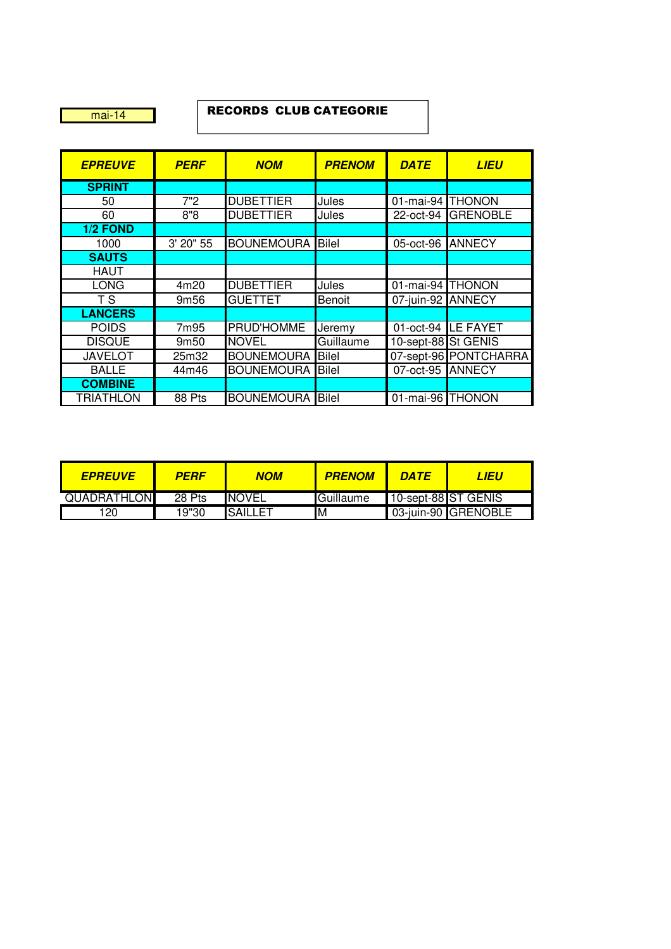mai-14

#### RECORDS CLUB CATEGORIE

| <b>EPREUVE</b>   | <b>PERF</b>      | <b>NOM</b>              | <b>PRENOM</b> | <b>DATE</b>         | LIEU                  |
|------------------|------------------|-------------------------|---------------|---------------------|-----------------------|
| <b>SPRINT</b>    |                  |                         |               |                     |                       |
| 50               | 7"2              | <b>DUBETTIER</b>        | Jules         | 01-mai-94 THONON    |                       |
| 60               | 8"8              | <b>DUBETTIER</b>        | Jules         |                     | 22-oct-94 GRENOBLE    |
| 1/2 FOND         |                  |                         |               |                     |                       |
| 1000             | 3' 20" 55        | <b>BOUNEMOURA</b>       | <b>Bilel</b>  | 05-oct-96 ANNECY    |                       |
| <b>SAUTS</b>     |                  |                         |               |                     |                       |
| <b>HAUT</b>      |                  |                         |               |                     |                       |
| <b>LONG</b>      | 4m20             | <b>DUBETTIER</b>        | Jules         | 01-mai-94 THONON    |                       |
| T <sub>S</sub>   | 9m <sub>56</sub> | <b>GUETTET</b>          | Benoit        | 07-juin-92 ANNECY   |                       |
| <b>LANCERS</b>   |                  |                         |               |                     |                       |
| <b>POIDS</b>     | 7m95             | PRUD'HOMME              | Jeremy        |                     | 01-oct-94 LE FAYET    |
| <b>DISQUE</b>    | 9m50             | <b>NOVEL</b>            | Guillaume     | 10-sept-88 St GENIS |                       |
| <b>JAVELOT</b>   | 25m32            | <b>BOUNEMOURA</b>       | <b>Bilel</b>  |                     | 07-sept-96 PONTCHARRA |
| <b>BALLE</b>     | 44m46            | <b>BOUNEMOURA</b>       | <b>Bilel</b>  | 07-oct-95 ANNECY    |                       |
| <b>COMBINE</b>   |                  |                         |               |                     |                       |
| <b>TRIATHLON</b> | 88 Pts           | <b>BOUNEMOURA</b> Bilel |               | 01-mai-96 THONON    |                       |

| <b>EPREUVE</b>     | PERF   | NOM            | <b>PRENOM</b> | <b>DATE</b>         | LIEU                |
|--------------------|--------|----------------|---------------|---------------------|---------------------|
| <b>QUADRATHLON</b> | 28 Pts | <b>INOVEL</b>  | Guillaume     | 10-sept-88 ST GENIS |                     |
| 20                 | 19"30  | <b>SAILLET</b> | M             |                     | 03-juin-90 GRENOBLE |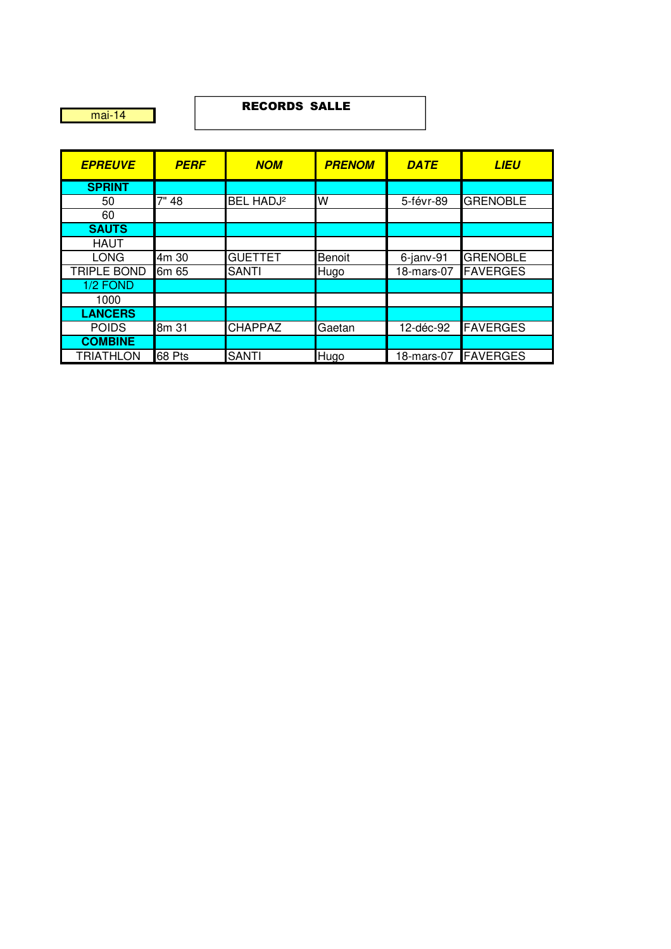mai-14

#### RECORDS SALLE

| <b>EPREUVE</b>     | <b>PERF</b> | <b>NOM</b>            | <b>PRENOM</b> | <b>DATE</b>  | <b>LIEU</b>     |
|--------------------|-------------|-----------------------|---------------|--------------|-----------------|
| <b>SPRINT</b>      |             |                       |               |              |                 |
| 50                 | 7" 48       | BEL HADJ <sup>2</sup> | W             | 5-févr-89    | <b>GRENOBLE</b> |
| 60                 |             |                       |               |              |                 |
| <b>SAUTS</b>       |             |                       |               |              |                 |
| <b>HAUT</b>        |             |                       |               |              |                 |
| <b>LONG</b>        | 4m 30       | <b>GUETTET</b>        | Benoit        | $6$ -janv-91 | <b>GRENOBLE</b> |
| <b>TRIPLE BOND</b> | 6m 65       | <b>SANTI</b>          | Hugo          | 18-mars-07   | <b>FAVERGES</b> |
| 1/2 FOND           |             |                       |               |              |                 |
| 1000               |             |                       |               |              |                 |
| <b>LANCERS</b>     |             |                       |               |              |                 |
| <b>POIDS</b>       | 8m 31       | <b>CHAPPAZ</b>        | Gaetan        | 12-déc-92    | <b>FAVERGES</b> |
| <b>COMBINE</b>     |             |                       |               |              |                 |
| <b>TRIATHLON</b>   | 68 Pts      | <b>SANTI</b>          | <b>Hugo</b>   | 18-mars-07   | <b>FAVERGES</b> |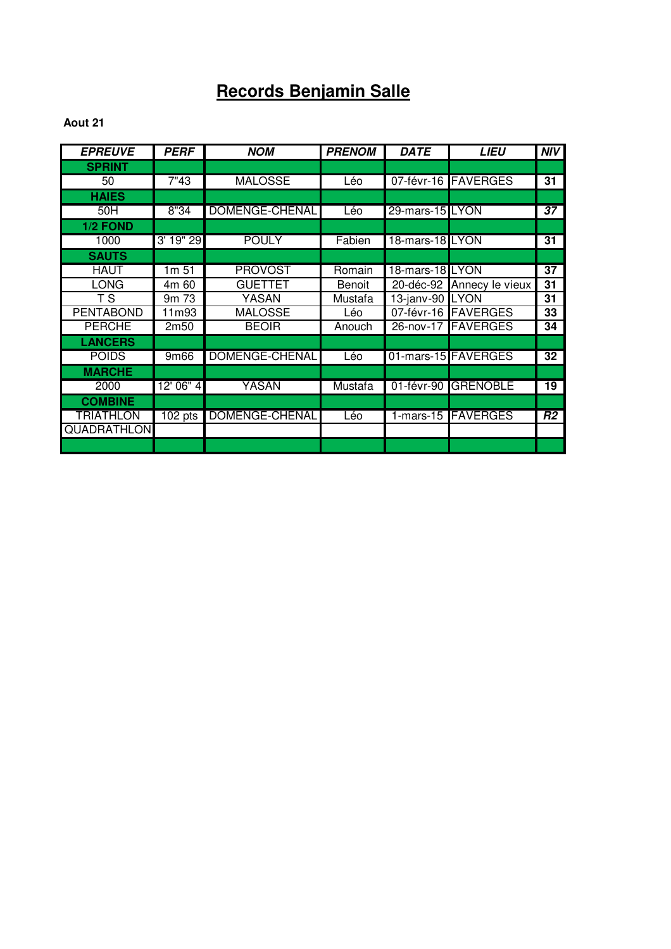# **Records Benjamin Salle**

| <b>EPREUVE</b>     | <b>PERF</b>      | <b>NOM</b>     | <b>PRENOM</b> | <b>DATE</b>     | <b>LIEU</b>               | <b>NIV</b>     |
|--------------------|------------------|----------------|---------------|-----------------|---------------------------|----------------|
| <b>SPRINT</b>      |                  |                |               |                 |                           |                |
| 50                 | 7"43             | <b>MALOSSE</b> | Léo           |                 | 07-févr-16 FAVERGES       | 31             |
| <b>HAIES</b>       |                  |                |               |                 |                           |                |
| 50H                | 8"34             | DOMENGE-CHENAL | Léo           | 29-mars-15 LYON |                           | 37             |
| 1/2 FOND           |                  |                |               |                 |                           |                |
| 1000               | 3' 19" 29        | <b>POULY</b>   | Fabien        | 18-mars-18 LYON |                           | 31             |
| <b>SAUTS</b>       |                  |                |               |                 |                           |                |
| <b>HAUT</b>        | 1m 51            | <b>PROVOST</b> | Romain        | 18-mars-18 LYON |                           | 37             |
| <b>LONG</b>        | 4m 60            | <b>GUETTET</b> | Benoit        |                 | 20-déc-92 Annecy le vieux | 31             |
| T S                | 9m 73            | YASAN          | Mustafa       | 13-janv-90 LYON |                           | 31             |
| <b>PENTABOND</b>   | 11m93            | <b>MALOSSE</b> | Léo           |                 | 07-févr-16 FAVERGES       | 33             |
| <b>PERCHE</b>      | 2m <sub>50</sub> | <b>BEOIR</b>   | Anouch        |                 | 26-nov-17 FAVERGES        | 34             |
| <b>LANCERS</b>     |                  |                |               |                 |                           |                |
| <b>POIDS</b>       | 9m66             | DOMENGE-CHENAL | Léo           |                 | 01-mars-15 FAVERGES       | 32             |
| <b>MARCHE</b>      |                  |                |               |                 |                           |                |
| 2000               | 12' 06" 4        | <b>YASAN</b>   | Mustafa       |                 | 01-févr-90 GRENOBLE       | 19             |
| <b>COMBINE</b>     |                  |                |               |                 |                           |                |
| <b>TRIATHLON</b>   | $102$ pts        | DOMENGE-CHENAL | Léo           |                 | 1-mars-15 FAVERGES        | R <sub>2</sub> |
| <b>QUADRATHLON</b> |                  |                |               |                 |                           |                |
|                    |                  |                |               |                 |                           |                |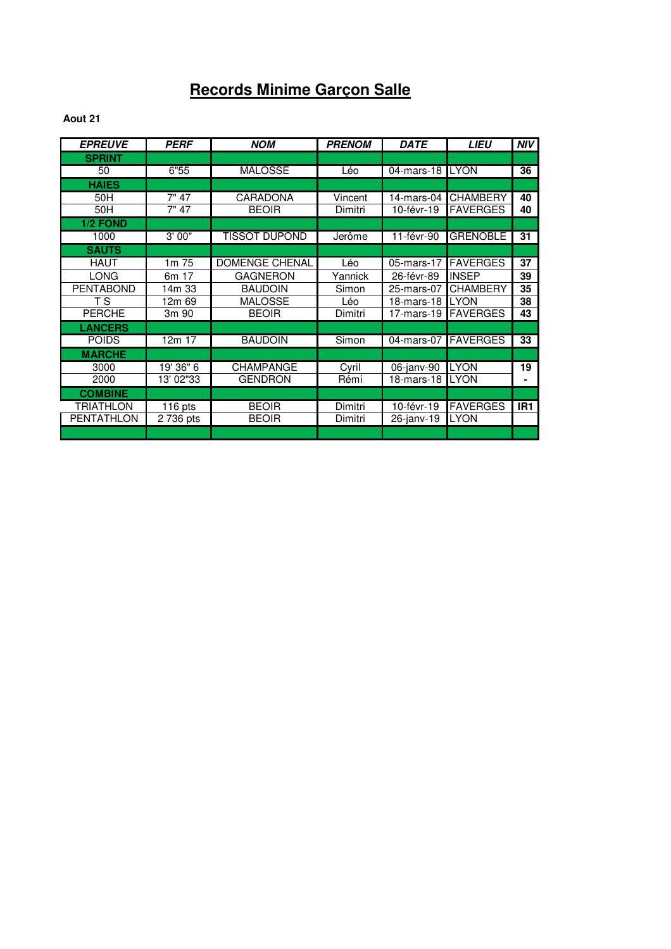## **Records Minime Garçon Salle**

| <b>EPREUVE</b>    | <b>PERF</b> | <b>NOM</b>            | <b>PRENOM</b> | <b>DATE</b> | <b>LIEU</b>     | <b>NIV</b>      |
|-------------------|-------------|-----------------------|---------------|-------------|-----------------|-----------------|
| <b>SPRINT</b>     |             |                       |               |             |                 |                 |
| 50                | 6"55        | <b>MALOSSE</b>        | Léo           | 04-mars-18  | <b>LYON</b>     | 36              |
| <b>HAIES</b>      |             |                       |               |             |                 |                 |
| 50H               | 7" 47       | <b>CARADONA</b>       | Vincent       | 14-mars-04  | <b>CHAMBERY</b> | 40              |
| 50H               | 7" 47       | <b>BEOIR</b>          | Dimitri       | 10-févr-19  | <b>FAVERGES</b> | 40              |
| 1/2 FOND          |             |                       |               |             |                 |                 |
| 1000              | 3'00"       | <b>TISSOT DUPOND</b>  | Jerôme        | 11-févr-90  | <b>GRENOBLE</b> | 31              |
| <b>SAUTS</b>      |             |                       |               |             |                 |                 |
| <b>HAUT</b>       | 1m 75       | <b>DOMENGE CHENAL</b> | Léo           | 05-mars-17  | <b>FAVERGES</b> | 37              |
| <b>LONG</b>       | 6m 17       | <b>GAGNERON</b>       | Yannick       | 26-févr-89  | <b>INSEP</b>    | 39              |
| <b>PENTABOND</b>  | 14m 33      | <b>BAUDOIN</b>        | Simon         | 25-mars-07  | <b>CHAMBERY</b> | 35              |
| T S               | 12m 69      | MALOSSE               | Léo           | 18-mars-18  | <b>LYON</b>     | 38              |
| <b>PERCHE</b>     | 3m 90       | <b>BEOIR</b>          | Dimitri       | 17-mars-19  | <b>FAVERGES</b> | 43              |
| <b>LANCERS</b>    |             |                       |               |             |                 |                 |
| <b>POIDS</b>      | 12m 17      | <b>BAUDOIN</b>        | Simon         | 04-mars-07  | <b>FAVERGES</b> | 33              |
| <b>MARCHE</b>     |             |                       |               |             |                 |                 |
| 3000              | 19' 36" 6   | CHAMPANGE             | Cyril         | 06-janv-90  | <b>LYON</b>     | 19              |
| 2000              | 13' 02"33   | <b>GENDRON</b>        | Rémi          | 18-mars-18  | <b>LYON</b>     | ٠               |
| <b>COMBINE</b>    |             |                       |               |             |                 |                 |
| TRIATHLON         | $116$ pts   | <b>BEOIR</b>          | Dimitri       | 10-févr-19  | <b>FAVERGES</b> | IR <sub>1</sub> |
| <b>PENTATHLON</b> | 2 736 pts   | <b>BEOIR</b>          | Dimitri       | 26-janv-19  | <b>LYON</b>     |                 |
|                   |             |                       |               |             |                 |                 |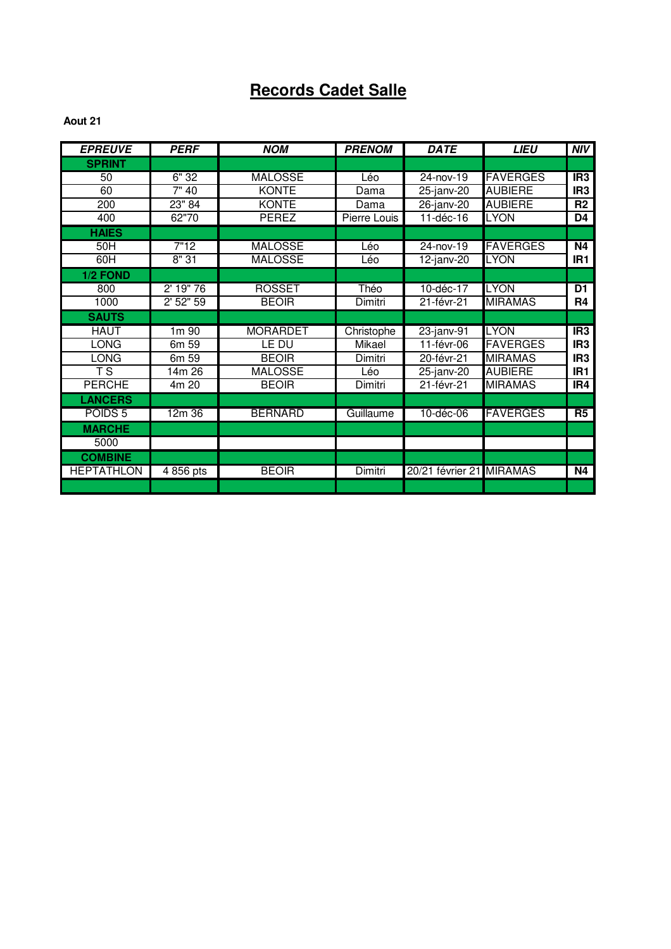## **Records Cadet Salle**

| <b>EPREUVE</b>     | <b>PERF</b> | <b>NOM</b>      | <b>PRENOM</b> | <b>DATE</b>              | <b>LIEU</b>     | <b>NIV</b>      |
|--------------------|-------------|-----------------|---------------|--------------------------|-----------------|-----------------|
| <b>SPRINT</b>      |             |                 |               |                          |                 |                 |
| 50                 | 6"32        | <b>MALOSSE</b>  | Léo           | $24 - nov-19$            | <b>FAVERGES</b> | IR3             |
| 60                 | 7"40        | <b>KONTE</b>    | Dama          | 25-janv-20               | <b>AUBIERE</b>  | IR <sub>3</sub> |
| 200                | 23" 84      | <b>KONTE</b>    | Dama          | 26-janv-20               | <b>AUBIERE</b>  | R <sub>2</sub>  |
| 400                | 62"70       | PEREZ           | Pierre Louis  | 11-déc-16                | <b>LYON</b>     | D4              |
| <b>HAIES</b>       |             |                 |               |                          |                 |                 |
| 50H                | 7"12        | <b>MALOSSE</b>  | Léo           | 24-nov-19                | <b>FAVERGES</b> | N4              |
| 60H                | 8"31        | <b>MALOSSE</b>  | Léo           | $12$ -janv-20            | <b>LYON</b>     | IR <sub>1</sub> |
| 1/2 FOND           |             |                 |               |                          |                 |                 |
| 800                | 2' 19" 76   | <b>ROSSET</b>   | Théo          | $10-dec-17$              | <b>LYON</b>     | $\overline{D1}$ |
| 1000               | $2'$ 52" 59 | <b>BEOIR</b>    | Dimitri       | 21-févr-21               | <b>MIRAMAS</b>  | R4              |
| <b>SAUTS</b>       |             |                 |               |                          |                 |                 |
| <b>HAUT</b>        | $1m$ 90     | <b>MORARDET</b> | Christophe    | $23$ -janv-91            | <b>LYON</b>     | IR3             |
| <b>LONG</b>        | 6m 59       | LE DU           | Mikael        | 11-févr-06               | <b>FAVERGES</b> | IR <sub>3</sub> |
| <b>LONG</b>        | 6m 59       | <b>BEOIR</b>    | Dimitri       | 20-févr-21               | <b>MIRAMAS</b>  | IR <sub>3</sub> |
| T S                | 14m 26      | <b>MALOSSE</b>  | Léo           | 25-janv-20               | <b>AUBIERE</b>  | IR <sub>1</sub> |
| <b>PERCHE</b>      | 4m 20       | <b>BEOIR</b>    | Dimitri       | $\overline{21}$ -févr-21 | <b>MIRAMAS</b>  | IR4             |
| <b>LANCERS</b>     |             |                 |               |                          |                 |                 |
| POIDS <sub>5</sub> | 12m 36      | <b>BERNARD</b>  | Guillaume     | 10-déc-06                | <b>FAVERGES</b> | R5              |
| <b>MARCHE</b>      |             |                 |               |                          |                 |                 |
| 5000               |             |                 |               |                          |                 |                 |
| <b>COMBINE</b>     |             |                 |               |                          |                 |                 |
| <b>HEPTATHLON</b>  | 4 856 pts   | <b>BEOIR</b>    | Dimitri       | 20/21 février 21 MIRAMAS |                 | N4              |
|                    |             |                 |               |                          |                 |                 |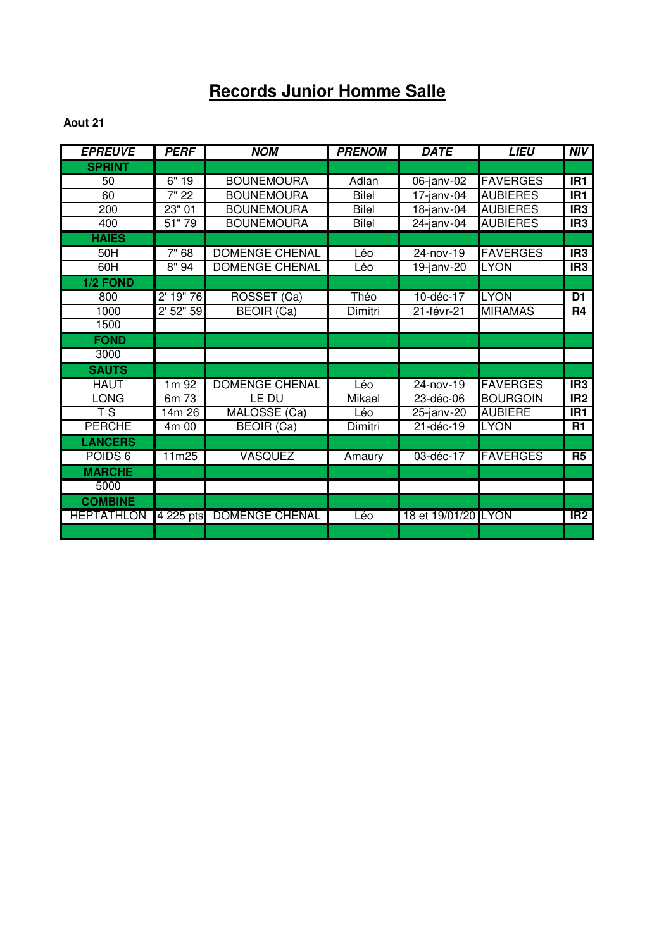# **Records Junior Homme Salle**

| <b>EPREUVE</b>     | <b>PERF</b> | <b>NOM</b>            | <b>PRENOM</b> | <b>DATE</b>         | <b>LIEU</b>     | <b>NIV</b>      |
|--------------------|-------------|-----------------------|---------------|---------------------|-----------------|-----------------|
| <b>SPRINT</b>      |             |                       |               |                     |                 |                 |
| 50                 | 6"19        | <b>BOUNEMOURA</b>     | Adlan         | $06$ -janv-02       | <b>FAVERGES</b> | IR <sub>1</sub> |
| 60                 | 7" 22       | <b>BOUNEMOURA</b>     | <b>Bilel</b>  | $17$ -janv-04       | <b>AUBIERES</b> | IR1             |
| 200                | 23"01       | <b>BOUNEMOURA</b>     | <b>Bilel</b>  | $18$ -janv-04       | <b>AUBIERES</b> | IR <sub>3</sub> |
| 400                | 51"79       | <b>BOUNEMOURA</b>     | <b>Bilel</b>  | 24-janv-04          | <b>AUBIERES</b> | IR <sub>3</sub> |
| <b>HAIES</b>       |             |                       |               |                     |                 |                 |
| 50H                | 7"68        | <b>DOMENGE CHENAL</b> | Léo           | $24 - nov - 19$     | <b>FAVERGES</b> | IR3             |
| 60H                | 8"94        | <b>DOMENGE CHENAL</b> | Léo           | $19$ -janv-20       | <b>LYON</b>     | IR <sub>3</sub> |
| 1/2 FOND           |             |                       |               |                     |                 |                 |
| 800                | 2' 19" 76   | ROSSET (Ca)           | Théo          | $10-dec-17$         | <b>LYON</b>     | $\overline{D1}$ |
| 1000               | $2'$ 52" 59 | <b>BEOIR (Ca)</b>     | Dimitri       | 21-févr-21          | <b>MIRAMAS</b>  | R <sub>4</sub>  |
| 1500               |             |                       |               |                     |                 |                 |
| <b>FOND</b>        |             |                       |               |                     |                 |                 |
| 3000               |             |                       |               |                     |                 |                 |
| <b>SAUTS</b>       |             |                       |               |                     |                 |                 |
| <b>HAUT</b>        | $1m$ 92     | <b>DOMENGE CHENAL</b> | Léo           | $24 - nov-19$       | <b>FAVERGES</b> | IR3             |
| <b>LONG</b>        | 6m 73       | LE DU                 | Mikael        | 23-déc-06           | <b>BOURGOIN</b> | IR <sub>2</sub> |
| T S                | 14m 26      | MALOSSE (Ca)          | Léo           | 25-janv-20          | <b>AUBIERE</b>  | IR <sub>1</sub> |
| <b>PERCHE</b>      | 4m00        | <b>BEOIR (Ca)</b>     | Dimitri       | 21-déc-19           | <b>LYON</b>     | $\overline{R1}$ |
| <b>LANCERS</b>     |             |                       |               |                     |                 |                 |
| POIDS <sub>6</sub> | 11m25       | <b>VASQUEZ</b>        | Amaury        | 03-déc-17           | <b>FAVERGES</b> | R <sub>5</sub>  |
| <b>MARCHE</b>      |             |                       |               |                     |                 |                 |
| 5000               |             |                       |               |                     |                 |                 |
| <b>COMBINE</b>     |             |                       |               |                     |                 |                 |
| <b>HEPTATHLON</b>  | 4 225 pts   | <b>DOMENGE CHENAL</b> | Léo           | 18 et 19/01/20 LYON |                 | IR2             |
|                    |             |                       |               |                     |                 |                 |